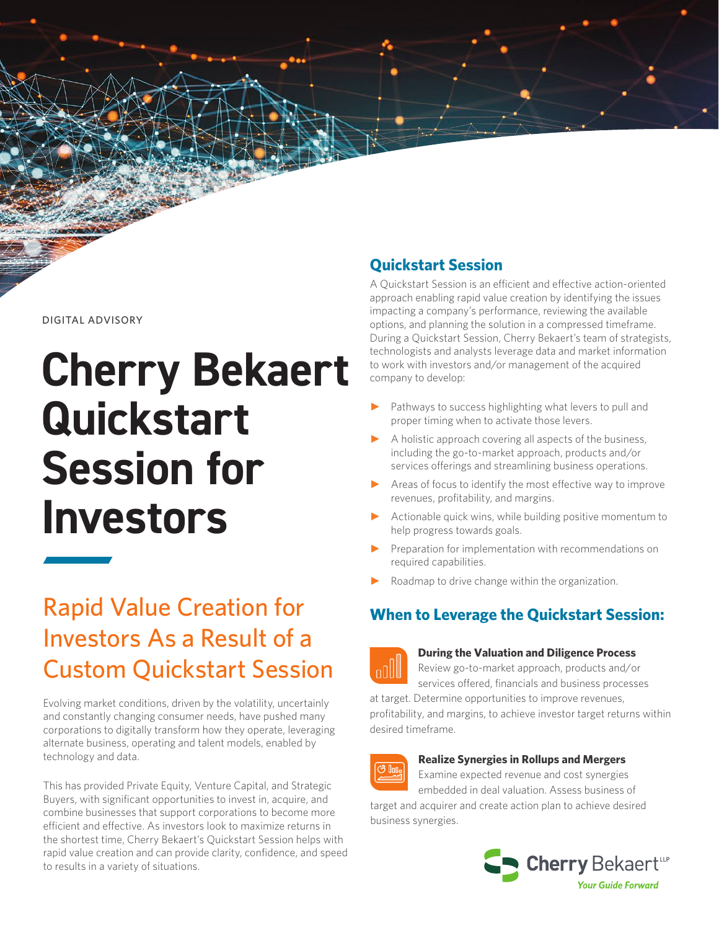#### DIGITAL ADVISORY

# **Cherry Bekaert Quickstart Session for Investors**

## Rapid Value Creation for Investors As a Result of a Custom Quickstart Session

Evolving market conditions, driven by the volatility, uncertainly and constantly changing consumer needs, have pushed many corporations to digitally transform how they operate, leveraging alternate business, operating and talent models, enabled by technology and data.

This has provided Private Equity, Venture Capital, and Strategic Buyers, with significant opportunities to invest in, acquire, and combine businesses that support corporations to become more efficient and effective. As investors look to maximize returns in the shortest time, Cherry Bekaert's Quickstart Session helps with rapid value creation and can provide clarity, confidence, and speed to results in a variety of situations.

## **Quickstart Session**

A Quickstart Session is an efficient and effective action-oriented approach enabling rapid value creation by identifying the issues impacting a company's performance, reviewing the available options, and planning the solution in a compressed timeframe. During a Quickstart Session, Cherry Bekaert's team of strategists, technologists and analysts leverage data and market information to work with investors and/or management of the acquired company to develop:

- Pathways to success highlighting what levers to pull and proper timing when to activate those levers.
- A holistic approach covering all aspects of the business, including the go-to-market approach, products and/or services offerings and streamlining business operations.
- Areas of focus to identify the most effective way to improve revenues, profitability, and margins.
- Actionable quick wins, while building positive momentum to help progress towards goals.
- Preparation for implementation with recommendations on required capabilities.
- Roadmap to drive change within the organization.

## **When to Leverage the Quickstart Session:**



#### **During the Valuation and Diligence Process**

Review go-to-market approach, products and/or services offered, financials and business processes

at target. Determine opportunities to improve revenues, profitability, and margins, to achieve investor target returns within desired timeframe.



#### **Realize Synergies in Rollups and Mergers**

Examine expected revenue and cost synergies

embedded in deal valuation. Assess business of target and acquirer and create action plan to achieve desired business synergies.